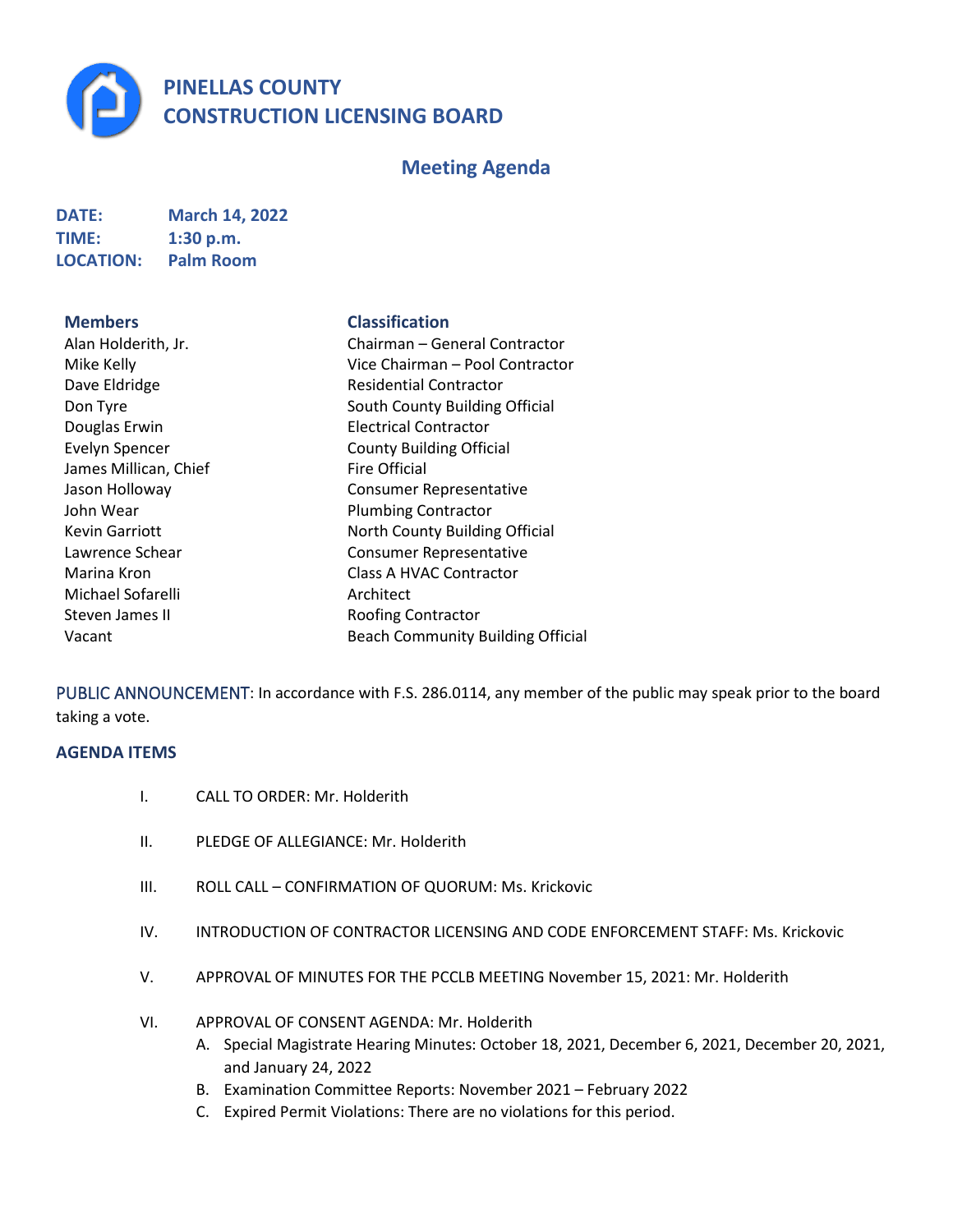**PINELLAS COUNTY CONSTRUCTION LICENSING BOARD**

## **Meeting Agenda**

| DATE:            | <b>March 14, 2022</b> |
|------------------|-----------------------|
| <b>TIME:</b>     | 1:30 p.m.             |
| <b>LOCATION:</b> | <b>Palm Room</b>      |

**Members Classification**

| Alan Holderith, Jr.   | Chairman - General           |
|-----------------------|------------------------------|
|                       |                              |
| Mike Kelly            | Vice Chairman - Poo          |
| Dave Eldridge         | <b>Residential Contracto</b> |
| Don Tyre              | South County Buildin         |
| Douglas Erwin         | <b>Electrical Contractor</b> |
| <b>Evelyn Spencer</b> | <b>County Building Offic</b> |
| James Millican, Chief | <b>Fire Official</b>         |
| Jason Holloway        | <b>Consumer Represent</b>    |
| John Wear             | <b>Plumbing Contractor</b>   |
| <b>Kevin Garriott</b> | North County Buildin         |
| Lawrence Schear       | <b>Consumer Represent</b>    |
| Marina Kron           | Class A HVAC Contra          |
| Michael Sofarelli     | Architect                    |
| Steven James II       | Roofing Contractor           |
| Vacant                | <b>Beach Community Bu</b>    |
|                       |                              |

| Alan Holderith, Jr.   | Chairman - General Contractor            |
|-----------------------|------------------------------------------|
| Mike Kelly            | Vice Chairman – Pool Contractor          |
| Dave Eldridge         | <b>Residential Contractor</b>            |
| Don Tyre              | South County Building Official           |
| Douglas Erwin         | <b>Electrical Contractor</b>             |
| <b>Evelyn Spencer</b> | <b>County Building Official</b>          |
| James Millican, Chief | <b>Fire Official</b>                     |
| Jason Holloway        | <b>Consumer Representative</b>           |
| John Wear             | <b>Plumbing Contractor</b>               |
| <b>Kevin Garriott</b> | North County Building Official           |
| Lawrence Schear       | <b>Consumer Representative</b>           |
| Marina Kron           | Class A HVAC Contractor                  |
| Michael Sofarelli     | Architect                                |
| Steven James II       | <b>Roofing Contractor</b>                |
| Vacant                | <b>Beach Community Building Official</b> |
|                       |                                          |

PUBLIC ANNOUNCEMENT: In accordance with F.S. 286.0114, any member of the public may speak prior to the board taking a vote.

## **AGENDA ITEMS**

- I. CALL TO ORDER: Mr. Holderith
- II. PLEDGE OF ALLEGIANCE: Mr. Holderith
- III. ROLL CALL CONFIRMATION OF QUORUM: Ms. Krickovic
- IV. INTRODUCTION OF CONTRACTOR LICENSING AND CODE ENFORCEMENT STAFF: Ms. Krickovic
- V. APPROVAL OF MINUTES FOR THE PCCLB MEETING November 15, 2021: Mr. Holderith
- VI. APPROVAL OF CONSENT AGENDA: Mr. Holderith
	- A. Special Magistrate Hearing Minutes: October 18, 2021, December 6, 2021, December 20, 2021, and January 24, 2022
	- B. Examination Committee Reports: November 2021 February 2022
	- C. Expired Permit Violations: There are no violations for this period.